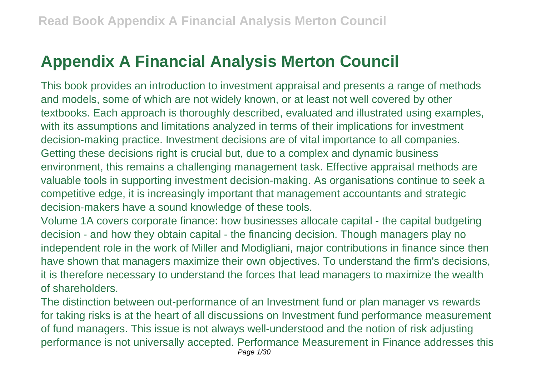## **Appendix A Financial Analysis Merton Council**

This book provides an introduction to investment appraisal and presents a range of methods and models, some of which are not widely known, or at least not well covered by other textbooks. Each approach is thoroughly described, evaluated and illustrated using examples, with its assumptions and limitations analyzed in terms of their implications for investment decision-making practice. Investment decisions are of vital importance to all companies. Getting these decisions right is crucial but, due to a complex and dynamic business environment, this remains a challenging management task. Effective appraisal methods are valuable tools in supporting investment decision-making. As organisations continue to seek a competitive edge, it is increasingly important that management accountants and strategic decision-makers have a sound knowledge of these tools.

Volume 1A covers corporate finance: how businesses allocate capital - the capital budgeting decision - and how they obtain capital - the financing decision. Though managers play no independent role in the work of Miller and Modigliani, major contributions in finance since then have shown that managers maximize their own objectives. To understand the firm's decisions, it is therefore necessary to understand the forces that lead managers to maximize the wealth of shareholders.

The distinction between out-performance of an Investment fund or plan manager vs rewards for taking risks is at the heart of all discussions on Investment fund performance measurement of fund managers. This issue is not always well-understood and the notion of risk adjusting performance is not universally accepted. Performance Measurement in Finance addresses this Page 1/30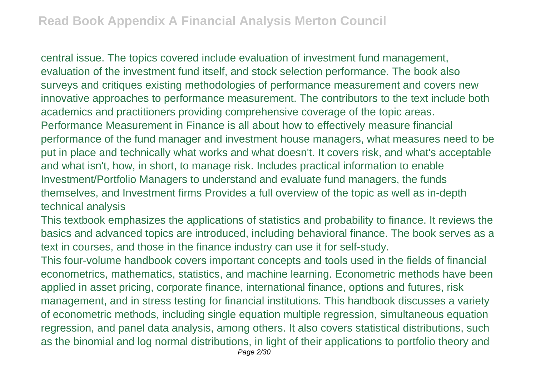central issue. The topics covered include evaluation of investment fund management, evaluation of the investment fund itself, and stock selection performance. The book also surveys and critiques existing methodologies of performance measurement and covers new innovative approaches to performance measurement. The contributors to the text include both academics and practitioners providing comprehensive coverage of the topic areas. Performance Measurement in Finance is all about how to effectively measure financial performance of the fund manager and investment house managers, what measures need to be put in place and technically what works and what doesn't. It covers risk, and what's acceptable and what isn't, how, in short, to manage risk. Includes practical information to enable Investment/Portfolio Managers to understand and evaluate fund managers, the funds themselves, and Investment firms Provides a full overview of the topic as well as in-depth technical analysis

This textbook emphasizes the applications of statistics and probability to finance. It reviews the basics and advanced topics are introduced, including behavioral finance. The book serves as a text in courses, and those in the finance industry can use it for self-study.

This four-volume handbook covers important concepts and tools used in the fields of financial econometrics, mathematics, statistics, and machine learning. Econometric methods have been applied in asset pricing, corporate finance, international finance, options and futures, risk management, and in stress testing for financial institutions. This handbook discusses a variety of econometric methods, including single equation multiple regression, simultaneous equation regression, and panel data analysis, among others. It also covers statistical distributions, such as the binomial and log normal distributions, in light of their applications to portfolio theory and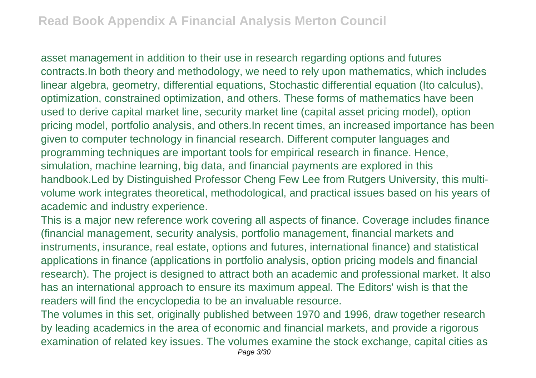asset management in addition to their use in research regarding options and futures contracts.In both theory and methodology, we need to rely upon mathematics, which includes linear algebra, geometry, differential equations, Stochastic differential equation (Ito calculus), optimization, constrained optimization, and others. These forms of mathematics have been used to derive capital market line, security market line (capital asset pricing model), option pricing model, portfolio analysis, and others.In recent times, an increased importance has been given to computer technology in financial research. Different computer languages and programming techniques are important tools for empirical research in finance. Hence, simulation, machine learning, big data, and financial payments are explored in this handbook.Led by Distinguished Professor Cheng Few Lee from Rutgers University, this multivolume work integrates theoretical, methodological, and practical issues based on his years of academic and industry experience.

This is a major new reference work covering all aspects of finance. Coverage includes finance (financial management, security analysis, portfolio management, financial markets and instruments, insurance, real estate, options and futures, international finance) and statistical applications in finance (applications in portfolio analysis, option pricing models and financial research). The project is designed to attract both an academic and professional market. It also has an international approach to ensure its maximum appeal. The Editors' wish is that the readers will find the encyclopedia to be an invaluable resource.

The volumes in this set, originally published between 1970 and 1996, draw together research by leading academics in the area of economic and financial markets, and provide a rigorous examination of related key issues. The volumes examine the stock exchange, capital cities as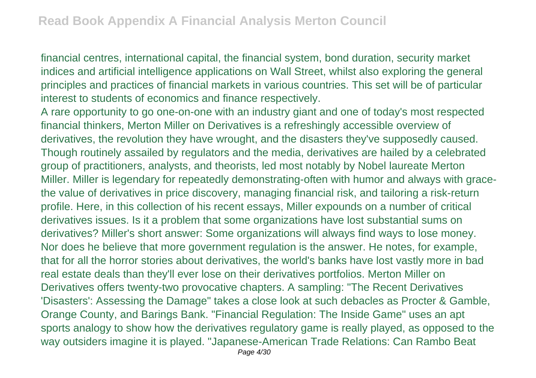financial centres, international capital, the financial system, bond duration, security market indices and artificial intelligence applications on Wall Street, whilst also exploring the general principles and practices of financial markets in various countries. This set will be of particular interest to students of economics and finance respectively.

A rare opportunity to go one-on-one with an industry giant and one of today's most respected financial thinkers, Merton Miller on Derivatives is a refreshingly accessible overview of derivatives, the revolution they have wrought, and the disasters they've supposedly caused. Though routinely assailed by regulators and the media, derivatives are hailed by a celebrated group of practitioners, analysts, and theorists, led most notably by Nobel laureate Merton Miller. Miller is legendary for repeatedly demonstrating-often with humor and always with gracethe value of derivatives in price discovery, managing financial risk, and tailoring a risk-return profile. Here, in this collection of his recent essays, Miller expounds on a number of critical derivatives issues. Is it a problem that some organizations have lost substantial sums on derivatives? Miller's short answer: Some organizations will always find ways to lose money. Nor does he believe that more government regulation is the answer. He notes, for example, that for all the horror stories about derivatives, the world's banks have lost vastly more in bad real estate deals than they'll ever lose on their derivatives portfolios. Merton Miller on Derivatives offers twenty-two provocative chapters. A sampling: "The Recent Derivatives 'Disasters': Assessing the Damage" takes a close look at such debacles as Procter & Gamble, Orange County, and Barings Bank. "Financial Regulation: The Inside Game" uses an apt sports analogy to show how the derivatives regulatory game is really played, as opposed to the way outsiders imagine it is played. "Japanese-American Trade Relations: Can Rambo Beat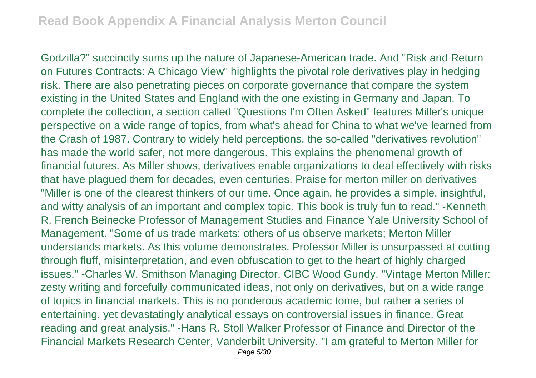Godzilla?" succinctly sums up the nature of Japanese-American trade. And "Risk and Return on Futures Contracts: A Chicago View" highlights the pivotal role derivatives play in hedging risk. There are also penetrating pieces on corporate governance that compare the system existing in the United States and England with the one existing in Germany and Japan. To complete the collection, a section called "Questions I'm Often Asked" features Miller's unique perspective on a wide range of topics, from what's ahead for China to what we've learned from the Crash of 1987. Contrary to widely held perceptions, the so-called "derivatives revolution" has made the world safer, not more dangerous. This explains the phenomenal growth of financial futures. As Miller shows, derivatives enable organizations to deal effectively with risks that have plagued them for decades, even centuries. Praise for merton miller on derivatives "Miller is one of the clearest thinkers of our time. Once again, he provides a simple, insightful, and witty analysis of an important and complex topic. This book is truly fun to read." -Kenneth R. French Beinecke Professor of Management Studies and Finance Yale University School of Management. "Some of us trade markets; others of us observe markets; Merton Miller understands markets. As this volume demonstrates, Professor Miller is unsurpassed at cutting through fluff, misinterpretation, and even obfuscation to get to the heart of highly charged issues." -Charles W. Smithson Managing Director, CIBC Wood Gundy. "Vintage Merton Miller: zesty writing and forcefully communicated ideas, not only on derivatives, but on a wide range of topics in financial markets. This is no ponderous academic tome, but rather a series of entertaining, yet devastatingly analytical essays on controversial issues in finance. Great reading and great analysis." -Hans R. Stoll Walker Professor of Finance and Director of the Financial Markets Research Center, Vanderbilt University. "I am grateful to Merton Miller for Page 5/30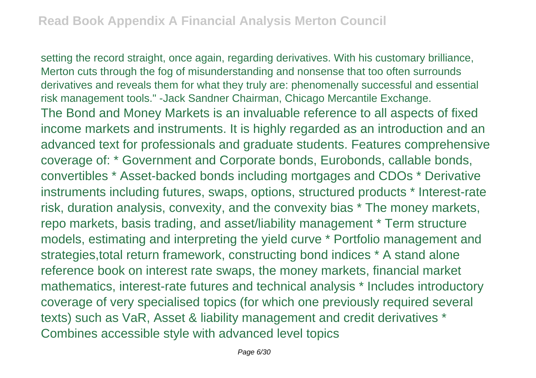setting the record straight, once again, regarding derivatives. With his customary brilliance, Merton cuts through the fog of misunderstanding and nonsense that too often surrounds derivatives and reveals them for what they truly are: phenomenally successful and essential risk management tools." -Jack Sandner Chairman, Chicago Mercantile Exchange. The Bond and Money Markets is an invaluable reference to all aspects of fixed income markets and instruments. It is highly regarded as an introduction and an advanced text for professionals and graduate students. Features comprehensive coverage of: \* Government and Corporate bonds, Eurobonds, callable bonds, convertibles \* Asset-backed bonds including mortgages and CDOs \* Derivative instruments including futures, swaps, options, structured products \* Interest-rate risk, duration analysis, convexity, and the convexity bias \* The money markets, repo markets, basis trading, and asset/liability management \* Term structure models, estimating and interpreting the yield curve \* Portfolio management and strategies,total return framework, constructing bond indices \* A stand alone reference book on interest rate swaps, the money markets, financial market mathematics, interest-rate futures and technical analysis \* Includes introductory coverage of very specialised topics (for which one previously required several texts) such as VaR, Asset & liability management and credit derivatives \* Combines accessible style with advanced level topics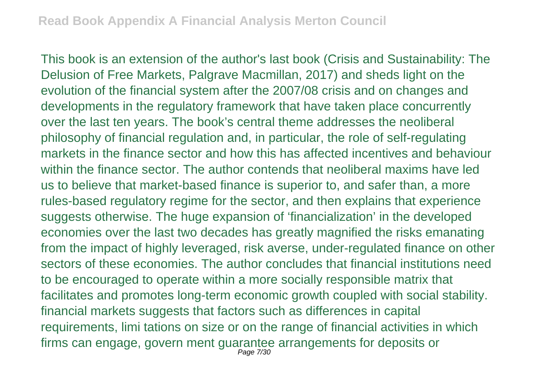This book is an extension of the author's last book (Crisis and Sustainability: The Delusion of Free Markets, Palgrave Macmillan, 2017) and sheds light on the evolution of the financial system after the 2007/08 crisis and on changes and developments in the regulatory framework that have taken place concurrently over the last ten years. The book's central theme addresses the neoliberal philosophy of financial regulation and, in particular, the role of self-regulating markets in the finance sector and how this has affected incentives and behaviour within the finance sector. The author contends that neoliberal maxims have led us to believe that market-based finance is superior to, and safer than, a more rules-based regulatory regime for the sector, and then explains that experience suggests otherwise. The huge expansion of 'financialization' in the developed economies over the last two decades has greatly magnified the risks emanating from the impact of highly leveraged, risk averse, under-regulated finance on other sectors of these economies. The author concludes that financial institutions need to be encouraged to operate within a more socially responsible matrix that facilitates and promotes long-term economic growth coupled with social stability. financial markets suggests that factors such as differences in capital requirements, limi tations on size or on the range of financial activities in which firms can engage, govern ment guarantee arrangements for deposits or Page 7/30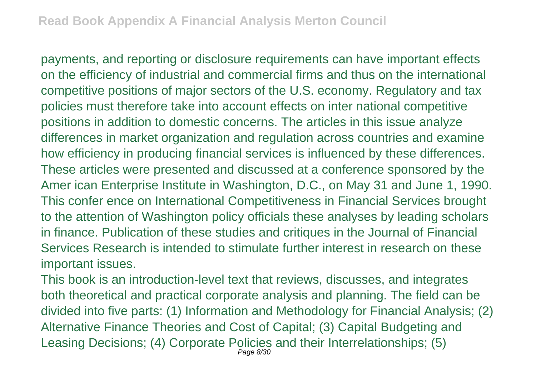payments, and reporting or disclosure requirements can have important effects on the efficiency of industrial and commercial firms and thus on the international competitive positions of major sectors of the U.S. economy. Regulatory and tax policies must therefore take into account effects on inter national competitive positions in addition to domestic concerns. The articles in this issue analyze differences in market organization and regulation across countries and examine how efficiency in producing financial services is influenced by these differences. These articles were presented and discussed at a conference sponsored by the Amer ican Enterprise Institute in Washington, D.C., on May 31 and June 1, 1990. This confer ence on International Competitiveness in Financial Services brought to the attention of Washington policy officials these analyses by leading scholars in finance. Publication of these studies and critiques in the Journal of Financial Services Research is intended to stimulate further interest in research on these important issues.

This book is an introduction-level text that reviews, discusses, and integrates both theoretical and practical corporate analysis and planning. The field can be divided into five parts: (1) Information and Methodology for Financial Analysis; (2) Alternative Finance Theories and Cost of Capital; (3) Capital Budgeting and Leasing Decisions; (4) Corporate Policies and their Interrelationships; (5) Page 8/30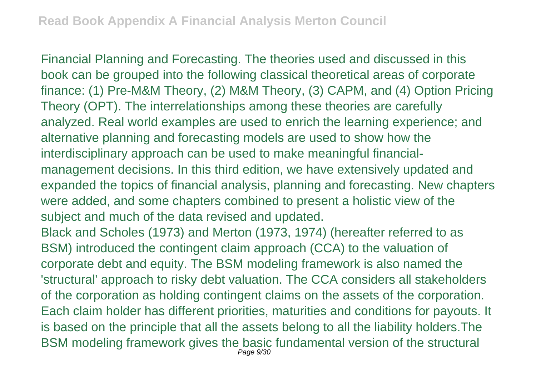Financial Planning and Forecasting. The theories used and discussed in this book can be grouped into the following classical theoretical areas of corporate finance: (1) Pre-M&M Theory, (2) M&M Theory, (3) CAPM, and (4) Option Pricing Theory (OPT). The interrelationships among these theories are carefully analyzed. Real world examples are used to enrich the learning experience; and alternative planning and forecasting models are used to show how the interdisciplinary approach can be used to make meaningful financialmanagement decisions. In this third edition, we have extensively updated and expanded the topics of financial analysis, planning and forecasting. New chapters were added, and some chapters combined to present a holistic view of the subject and much of the data revised and updated. Black and Scholes (1973) and Merton (1973, 1974) (hereafter referred to as BSM) introduced the contingent claim approach (CCA) to the valuation of corporate debt and equity. The BSM modeling framework is also named the 'structural' approach to risky debt valuation. The CCA considers all stakeholders

of the corporation as holding contingent claims on the assets of the corporation. Each claim holder has different priorities, maturities and conditions for payouts. It is based on the principle that all the assets belong to all the liability holders.The BSM modeling framework gives the basic fundamental version of the structural Page 9/30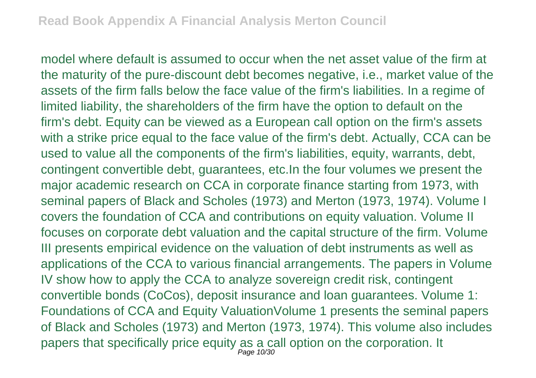model where default is assumed to occur when the net asset value of the firm at the maturity of the pure-discount debt becomes negative, i.e., market value of the assets of the firm falls below the face value of the firm's liabilities. In a regime of limited liability, the shareholders of the firm have the option to default on the firm's debt. Equity can be viewed as a European call option on the firm's assets with a strike price equal to the face value of the firm's debt. Actually, CCA can be used to value all the components of the firm's liabilities, equity, warrants, debt, contingent convertible debt, guarantees, etc.In the four volumes we present the major academic research on CCA in corporate finance starting from 1973, with seminal papers of Black and Scholes (1973) and Merton (1973, 1974). Volume I covers the foundation of CCA and contributions on equity valuation. Volume II focuses on corporate debt valuation and the capital structure of the firm. Volume III presents empirical evidence on the valuation of debt instruments as well as applications of the CCA to various financial arrangements. The papers in Volume IV show how to apply the CCA to analyze sovereign credit risk, contingent convertible bonds (CoCos), deposit insurance and loan guarantees. Volume 1: Foundations of CCA and Equity ValuationVolume 1 presents the seminal papers of Black and Scholes (1973) and Merton (1973, 1974). This volume also includes papers that specifically price equity as a call option on the corporation. It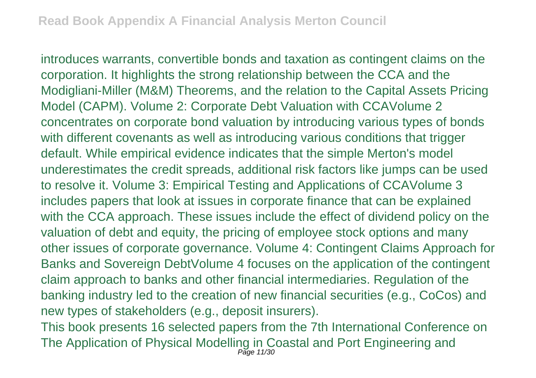introduces warrants, convertible bonds and taxation as contingent claims on the corporation. It highlights the strong relationship between the CCA and the Modigliani-Miller (M&M) Theorems, and the relation to the Capital Assets Pricing Model (CAPM). Volume 2: Corporate Debt Valuation with CCAVolume 2 concentrates on corporate bond valuation by introducing various types of bonds with different covenants as well as introducing various conditions that trigger default. While empirical evidence indicates that the simple Merton's model underestimates the credit spreads, additional risk factors like jumps can be used to resolve it. Volume 3: Empirical Testing and Applications of CCAVolume 3 includes papers that look at issues in corporate finance that can be explained with the CCA approach. These issues include the effect of dividend policy on the valuation of debt and equity, the pricing of employee stock options and many other issues of corporate governance. Volume 4: Contingent Claims Approach for Banks and Sovereign DebtVolume 4 focuses on the application of the contingent claim approach to banks and other financial intermediaries. Regulation of the banking industry led to the creation of new financial securities (e.g., CoCos) and new types of stakeholders (e.g., deposit insurers).

This book presents 16 selected papers from the 7th International Conference on The Application of Physical Modelling in Coastal and Port Engineering and<br>Page 11/30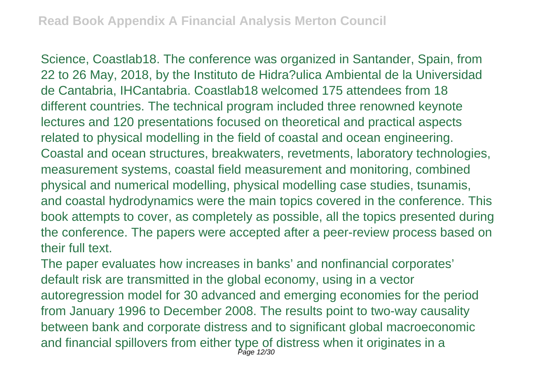Science, Coastlab18. The conference was organized in Santander, Spain, from 22 to 26 May, 2018, by the Instituto de Hidra?ulica Ambiental de la Universidad de Cantabria, IHCantabria. Coastlab18 welcomed 175 attendees from 18 different countries. The technical program included three renowned keynote lectures and 120 presentations focused on theoretical and practical aspects related to physical modelling in the field of coastal and ocean engineering. Coastal and ocean structures, breakwaters, revetments, laboratory technologies, measurement systems, coastal field measurement and monitoring, combined physical and numerical modelling, physical modelling case studies, tsunamis, and coastal hydrodynamics were the main topics covered in the conference. This book attempts to cover, as completely as possible, all the topics presented during the conference. The papers were accepted after a peer-review process based on their full text.

The paper evaluates how increases in banks' and nonfinancial corporates' default risk are transmitted in the global economy, using in a vector autoregression model for 30 advanced and emerging economies for the period from January 1996 to December 2008. The results point to two-way causality between bank and corporate distress and to significant global macroeconomic and financial spillovers from either type of distress when it originates in a Page 12/30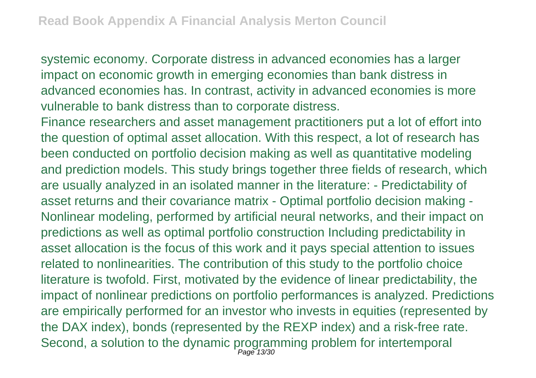systemic economy. Corporate distress in advanced economies has a larger impact on economic growth in emerging economies than bank distress in advanced economies has. In contrast, activity in advanced economies is more vulnerable to bank distress than to corporate distress.

Finance researchers and asset management practitioners put a lot of effort into the question of optimal asset allocation. With this respect, a lot of research has been conducted on portfolio decision making as well as quantitative modeling and prediction models. This study brings together three fields of research, which are usually analyzed in an isolated manner in the literature: - Predictability of asset returns and their covariance matrix - Optimal portfolio decision making - Nonlinear modeling, performed by artificial neural networks, and their impact on predictions as well as optimal portfolio construction Including predictability in asset allocation is the focus of this work and it pays special attention to issues related to nonlinearities. The contribution of this study to the portfolio choice literature is twofold. First, motivated by the evidence of linear predictability, the impact of nonlinear predictions on portfolio performances is analyzed. Predictions are empirically performed for an investor who invests in equities (represented by the DAX index), bonds (represented by the REXP index) and a risk-free rate. Second, a solution to the dynamic programming problem for intertemporal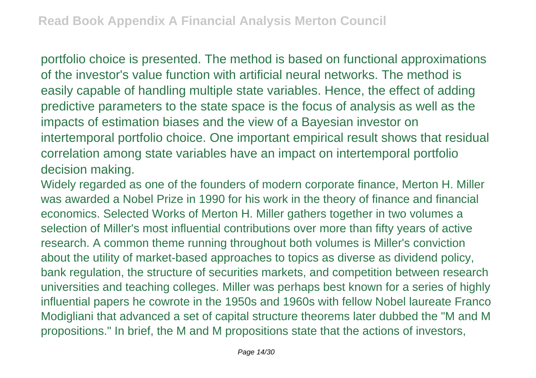portfolio choice is presented. The method is based on functional approximations of the investor's value function with artificial neural networks. The method is easily capable of handling multiple state variables. Hence, the effect of adding predictive parameters to the state space is the focus of analysis as well as the impacts of estimation biases and the view of a Bayesian investor on intertemporal portfolio choice. One important empirical result shows that residual correlation among state variables have an impact on intertemporal portfolio decision making.

Widely regarded as one of the founders of modern corporate finance, Merton H. Miller was awarded a Nobel Prize in 1990 for his work in the theory of finance and financial economics. Selected Works of Merton H. Miller gathers together in two volumes a selection of Miller's most influential contributions over more than fifty years of active research. A common theme running throughout both volumes is Miller's conviction about the utility of market-based approaches to topics as diverse as dividend policy, bank regulation, the structure of securities markets, and competition between research universities and teaching colleges. Miller was perhaps best known for a series of highly influential papers he cowrote in the 1950s and 1960s with fellow Nobel laureate Franco Modigliani that advanced a set of capital structure theorems later dubbed the "M and M propositions." In brief, the M and M propositions state that the actions of investors,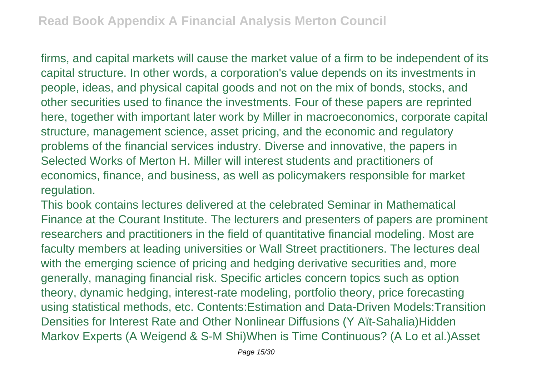firms, and capital markets will cause the market value of a firm to be independent of its capital structure. In other words, a corporation's value depends on its investments in people, ideas, and physical capital goods and not on the mix of bonds, stocks, and other securities used to finance the investments. Four of these papers are reprinted here, together with important later work by Miller in macroeconomics, corporate capital structure, management science, asset pricing, and the economic and regulatory problems of the financial services industry. Diverse and innovative, the papers in Selected Works of Merton H. Miller will interest students and practitioners of economics, finance, and business, as well as policymakers responsible for market regulation.

This book contains lectures delivered at the celebrated Seminar in Mathematical Finance at the Courant Institute. The lecturers and presenters of papers are prominent researchers and practitioners in the field of quantitative financial modeling. Most are faculty members at leading universities or Wall Street practitioners. The lectures deal with the emerging science of pricing and hedging derivative securities and, more generally, managing financial risk. Specific articles concern topics such as option theory, dynamic hedging, interest-rate modeling, portfolio theory, price forecasting using statistical methods, etc. Contents:Estimation and Data-Driven Models:Transition Densities for Interest Rate and Other Nonlinear Diffusions (Y Aït-Sahalia)Hidden Markov Experts (A Weigend & S-M Shi)When is Time Continuous? (A Lo et al.)Asset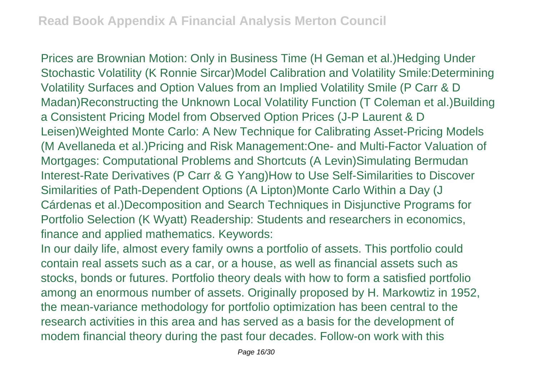Prices are Brownian Motion: Only in Business Time (H Geman et al.)Hedging Under Stochastic Volatility (K Ronnie Sircar)Model Calibration and Volatility Smile:Determining Volatility Surfaces and Option Values from an Implied Volatility Smile (P Carr & D Madan)Reconstructing the Unknown Local Volatility Function (T Coleman et al.)Building a Consistent Pricing Model from Observed Option Prices (J-P Laurent & D Leisen)Weighted Monte Carlo: A New Technique for Calibrating Asset-Pricing Models (M Avellaneda et al.)Pricing and Risk Management:One- and Multi-Factor Valuation of Mortgages: Computational Problems and Shortcuts (A Levin)Simulating Bermudan Interest-Rate Derivatives (P Carr & G Yang)How to Use Self-Similarities to Discover Similarities of Path-Dependent Options (A Lipton)Monte Carlo Within a Day (J Cárdenas et al.)Decomposition and Search Techniques in Disjunctive Programs for Portfolio Selection (K Wyatt) Readership: Students and researchers in economics, finance and applied mathematics. Keywords:

In our daily life, almost every family owns a portfolio of assets. This portfolio could contain real assets such as a car, or a house, as well as financial assets such as stocks, bonds or futures. Portfolio theory deals with how to form a satisfied portfolio among an enormous number of assets. Originally proposed by H. Markowtiz in 1952, the mean-variance methodology for portfolio optimization has been central to the research activities in this area and has served as a basis for the development of modem financial theory during the past four decades. Follow-on work with this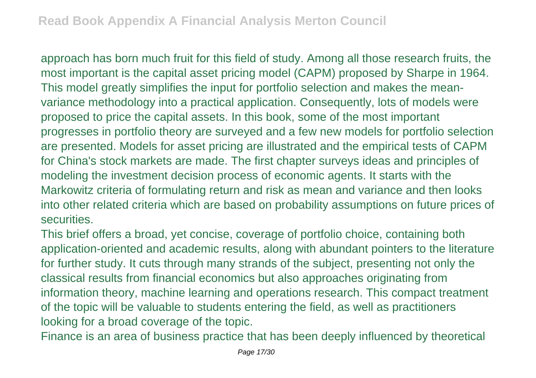approach has born much fruit for this field of study. Among all those research fruits, the most important is the capital asset pricing model (CAPM) proposed by Sharpe in 1964. This model greatly simplifies the input for portfolio selection and makes the meanvariance methodology into a practical application. Consequently, lots of models were proposed to price the capital assets. In this book, some of the most important progresses in portfolio theory are surveyed and a few new models for portfolio selection are presented. Models for asset pricing are illustrated and the empirical tests of CAPM for China's stock markets are made. The first chapter surveys ideas and principles of modeling the investment decision process of economic agents. It starts with the Markowitz criteria of formulating return and risk as mean and variance and then looks into other related criteria which are based on probability assumptions on future prices of securities.

This brief offers a broad, yet concise, coverage of portfolio choice, containing both application-oriented and academic results, along with abundant pointers to the literature for further study. It cuts through many strands of the subject, presenting not only the classical results from financial economics but also approaches originating from information theory, machine learning and operations research. This compact treatment of the topic will be valuable to students entering the field, as well as practitioners looking for a broad coverage of the topic.

Finance is an area of business practice that has been deeply influenced by theoretical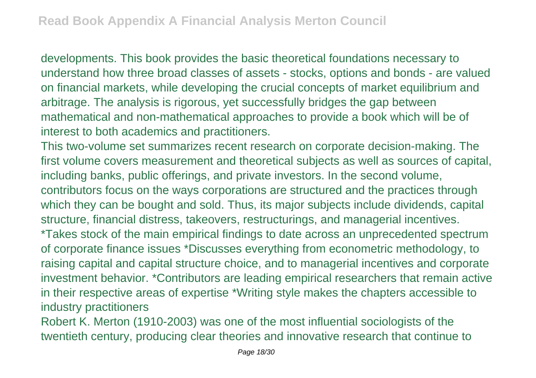developments. This book provides the basic theoretical foundations necessary to understand how three broad classes of assets - stocks, options and bonds - are valued on financial markets, while developing the crucial concepts of market equilibrium and arbitrage. The analysis is rigorous, yet successfully bridges the gap between mathematical and non-mathematical approaches to provide a book which will be of interest to both academics and practitioners.

This two-volume set summarizes recent research on corporate decision-making. The first volume covers measurement and theoretical subjects as well as sources of capital, including banks, public offerings, and private investors. In the second volume, contributors focus on the ways corporations are structured and the practices through which they can be bought and sold. Thus, its major subjects include dividends, capital structure, financial distress, takeovers, restructurings, and managerial incentives. \*Takes stock of the main empirical findings to date across an unprecedented spectrum of corporate finance issues \*Discusses everything from econometric methodology, to raising capital and capital structure choice, and to managerial incentives and corporate investment behavior. \*Contributors are leading empirical researchers that remain active in their respective areas of expertise \*Writing style makes the chapters accessible to industry practitioners

Robert K. Merton (1910-2003) was one of the most influential sociologists of the twentieth century, producing clear theories and innovative research that continue to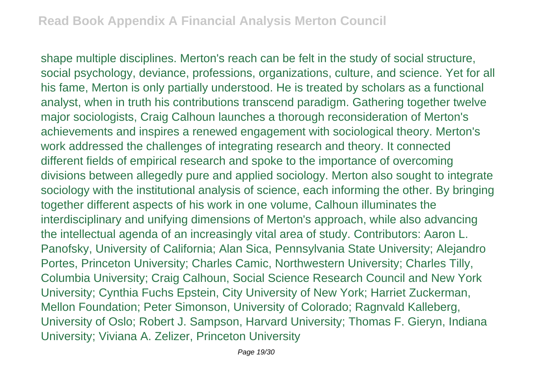shape multiple disciplines. Merton's reach can be felt in the study of social structure, social psychology, deviance, professions, organizations, culture, and science. Yet for all his fame, Merton is only partially understood. He is treated by scholars as a functional analyst, when in truth his contributions transcend paradigm. Gathering together twelve major sociologists, Craig Calhoun launches a thorough reconsideration of Merton's achievements and inspires a renewed engagement with sociological theory. Merton's work addressed the challenges of integrating research and theory. It connected different fields of empirical research and spoke to the importance of overcoming divisions between allegedly pure and applied sociology. Merton also sought to integrate sociology with the institutional analysis of science, each informing the other. By bringing together different aspects of his work in one volume, Calhoun illuminates the interdisciplinary and unifying dimensions of Merton's approach, while also advancing the intellectual agenda of an increasingly vital area of study. Contributors: Aaron L. Panofsky, University of California; Alan Sica, Pennsylvania State University; Alejandro Portes, Princeton University; Charles Camic, Northwestern University; Charles Tilly, Columbia University; Craig Calhoun, Social Science Research Council and New York University; Cynthia Fuchs Epstein, City University of New York; Harriet Zuckerman, Mellon Foundation; Peter Simonson, University of Colorado; Ragnvald Kalleberg, University of Oslo; Robert J. Sampson, Harvard University; Thomas F. Gieryn, Indiana University; Viviana A. Zelizer, Princeton University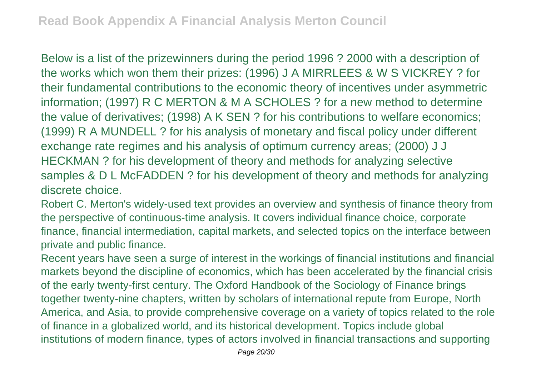Below is a list of the prizewinners during the period 1996 ? 2000 with a description of the works which won them their prizes: (1996) J A MIRRLEES & W S VICKREY ? for their fundamental contributions to the economic theory of incentives under asymmetric information; (1997) R C MERTON & M A SCHOLES ? for a new method to determine the value of derivatives; (1998) A K SEN ? for his contributions to welfare economics; (1999) R A MUNDELL ? for his analysis of monetary and fiscal policy under different exchange rate regimes and his analysis of optimum currency areas; (2000) J J HECKMAN ? for his development of theory and methods for analyzing selective samples & D L McFADDEN ? for his development of theory and methods for analyzing discrete choice.

Robert C. Merton's widely-used text provides an overview and synthesis of finance theory from the perspective of continuous-time analysis. It covers individual finance choice, corporate finance, financial intermediation, capital markets, and selected topics on the interface between private and public finance.

Recent years have seen a surge of interest in the workings of financial institutions and financial markets beyond the discipline of economics, which has been accelerated by the financial crisis of the early twenty-first century. The Oxford Handbook of the Sociology of Finance brings together twenty-nine chapters, written by scholars of international repute from Europe, North America, and Asia, to provide comprehensive coverage on a variety of topics related to the role of finance in a globalized world, and its historical development. Topics include global institutions of modern finance, types of actors involved in financial transactions and supporting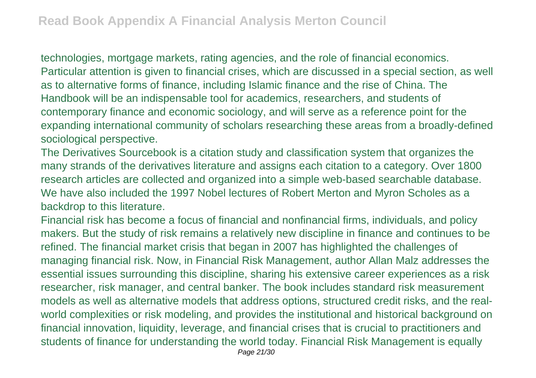technologies, mortgage markets, rating agencies, and the role of financial economics. Particular attention is given to financial crises, which are discussed in a special section, as well as to alternative forms of finance, including Islamic finance and the rise of China. The Handbook will be an indispensable tool for academics, researchers, and students of contemporary finance and economic sociology, and will serve as a reference point for the expanding international community of scholars researching these areas from a broadly-defined sociological perspective.

The Derivatives Sourcebook is a citation study and classification system that organizes the many strands of the derivatives literature and assigns each citation to a category. Over 1800 research articles are collected and organized into a simple web-based searchable database. We have also included the 1997 Nobel lectures of Robert Merton and Myron Scholes as a backdrop to this literature.

Financial risk has become a focus of financial and nonfinancial firms, individuals, and policy makers. But the study of risk remains a relatively new discipline in finance and continues to be refined. The financial market crisis that began in 2007 has highlighted the challenges of managing financial risk. Now, in Financial Risk Management, author Allan Malz addresses the essential issues surrounding this discipline, sharing his extensive career experiences as a risk researcher, risk manager, and central banker. The book includes standard risk measurement models as well as alternative models that address options, structured credit risks, and the realworld complexities or risk modeling, and provides the institutional and historical background on financial innovation, liquidity, leverage, and financial crises that is crucial to practitioners and students of finance for understanding the world today. Financial Risk Management is equally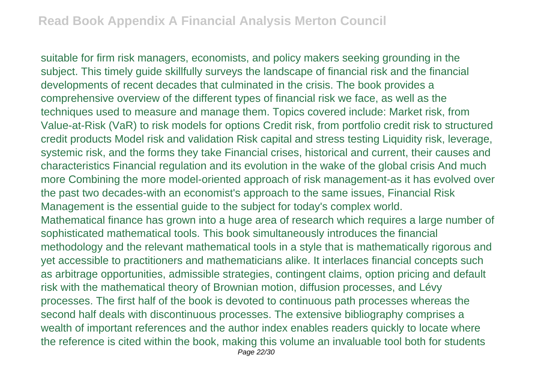suitable for firm risk managers, economists, and policy makers seeking grounding in the subject. This timely guide skillfully surveys the landscape of financial risk and the financial developments of recent decades that culminated in the crisis. The book provides a comprehensive overview of the different types of financial risk we face, as well as the techniques used to measure and manage them. Topics covered include: Market risk, from Value-at-Risk (VaR) to risk models for options Credit risk, from portfolio credit risk to structured credit products Model risk and validation Risk capital and stress testing Liquidity risk, leverage, systemic risk, and the forms they take Financial crises, historical and current, their causes and characteristics Financial regulation and its evolution in the wake of the global crisis And much more Combining the more model-oriented approach of risk management-as it has evolved over the past two decades-with an economist's approach to the same issues, Financial Risk Management is the essential guide to the subject for today's complex world. Mathematical finance has grown into a huge area of research which requires a large number of sophisticated mathematical tools. This book simultaneously introduces the financial methodology and the relevant mathematical tools in a style that is mathematically rigorous and yet accessible to practitioners and mathematicians alike. It interlaces financial concepts such as arbitrage opportunities, admissible strategies, contingent claims, option pricing and default risk with the mathematical theory of Brownian motion, diffusion processes, and Lévy processes. The first half of the book is devoted to continuous path processes whereas the second half deals with discontinuous processes. The extensive bibliography comprises a wealth of important references and the author index enables readers quickly to locate where the reference is cited within the book, making this volume an invaluable tool both for students Page 22/30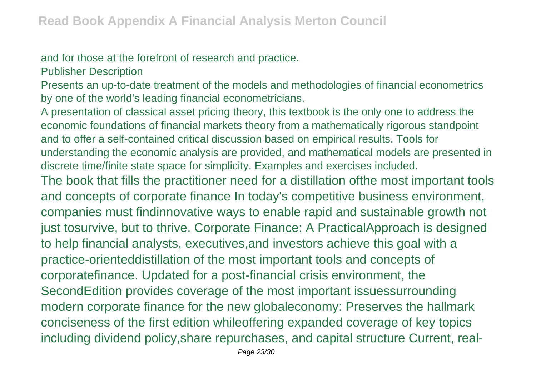## and for those at the forefront of research and practice.

Publisher Description

Presents an up-to-date treatment of the models and methodologies of financial econometrics by one of the world's leading financial econometricians.

A presentation of classical asset pricing theory, this textbook is the only one to address the economic foundations of financial markets theory from a mathematically rigorous standpoint and to offer a self-contained critical discussion based on empirical results. Tools for understanding the economic analysis are provided, and mathematical models are presented in discrete time/finite state space for simplicity. Examples and exercises included.

The book that fills the practitioner need for a distillation ofthe most important tools and concepts of corporate finance In today's competitive business environment, companies must findinnovative ways to enable rapid and sustainable growth not just tosurvive, but to thrive. Corporate Finance: A PracticalApproach is designed to help financial analysts, executives,and investors achieve this goal with a practice-orienteddistillation of the most important tools and concepts of corporatefinance. Updated for a post-financial crisis environment, the SecondEdition provides coverage of the most important issuessurrounding modern corporate finance for the new globaleconomy: Preserves the hallmark conciseness of the first edition whileoffering expanded coverage of key topics including dividend policy,share repurchases, and capital structure Current, real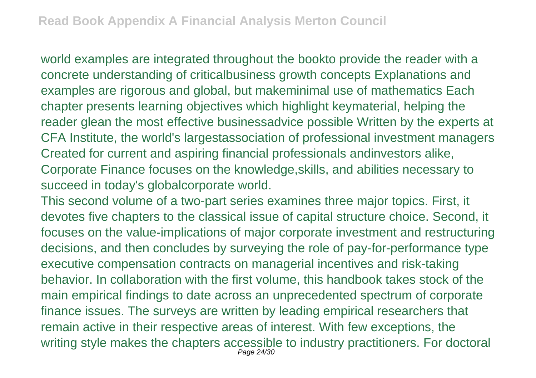world examples are integrated throughout the bookto provide the reader with a concrete understanding of criticalbusiness growth concepts Explanations and examples are rigorous and global, but makeminimal use of mathematics Each chapter presents learning objectives which highlight keymaterial, helping the reader glean the most effective businessadvice possible Written by the experts at CFA Institute, the world's largestassociation of professional investment managers Created for current and aspiring financial professionals andinvestors alike, Corporate Finance focuses on the knowledge,skills, and abilities necessary to succeed in today's globalcorporate world.

This second volume of a two-part series examines three major topics. First, it devotes five chapters to the classical issue of capital structure choice. Second, it focuses on the value-implications of major corporate investment and restructuring decisions, and then concludes by surveying the role of pay-for-performance type executive compensation contracts on managerial incentives and risk-taking behavior. In collaboration with the first volume, this handbook takes stock of the main empirical findings to date across an unprecedented spectrum of corporate finance issues. The surveys are written by leading empirical researchers that remain active in their respective areas of interest. With few exceptions, the writing style makes the chapters accessible to industry practitioners. For doctoral Page 24/30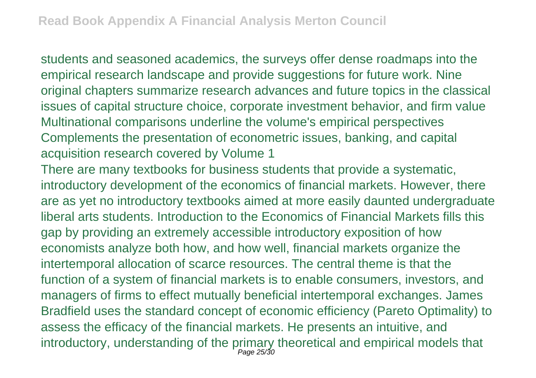students and seasoned academics, the surveys offer dense roadmaps into the empirical research landscape and provide suggestions for future work. Nine original chapters summarize research advances and future topics in the classical issues of capital structure choice, corporate investment behavior, and firm value Multinational comparisons underline the volume's empirical perspectives Complements the presentation of econometric issues, banking, and capital acquisition research covered by Volume 1

There are many textbooks for business students that provide a systematic, introductory development of the economics of financial markets. However, there are as yet no introductory textbooks aimed at more easily daunted undergraduate liberal arts students. Introduction to the Economics of Financial Markets fills this gap by providing an extremely accessible introductory exposition of how economists analyze both how, and how well, financial markets organize the intertemporal allocation of scarce resources. The central theme is that the function of a system of financial markets is to enable consumers, investors, and managers of firms to effect mutually beneficial intertemporal exchanges. James Bradfield uses the standard concept of economic efficiency (Pareto Optimality) to assess the efficacy of the financial markets. He presents an intuitive, and introductory, understanding of the primary theoretical and empirical models that Page 25/30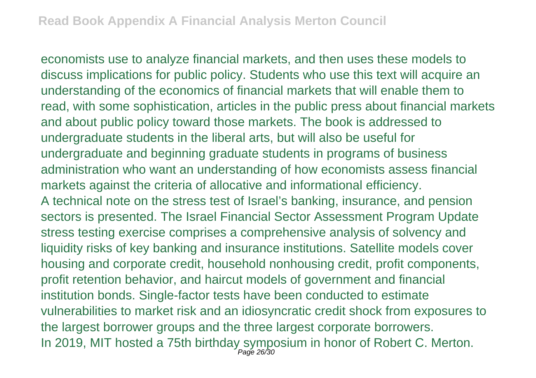economists use to analyze financial markets, and then uses these models to discuss implications for public policy. Students who use this text will acquire an understanding of the economics of financial markets that will enable them to read, with some sophistication, articles in the public press about financial markets and about public policy toward those markets. The book is addressed to undergraduate students in the liberal arts, but will also be useful for undergraduate and beginning graduate students in programs of business administration who want an understanding of how economists assess financial markets against the criteria of allocative and informational efficiency. A technical note on the stress test of Israel's banking, insurance, and pension sectors is presented. The Israel Financial Sector Assessment Program Update stress testing exercise comprises a comprehensive analysis of solvency and liquidity risks of key banking and insurance institutions. Satellite models cover housing and corporate credit, household nonhousing credit, profit components, profit retention behavior, and haircut models of government and financial institution bonds. Single-factor tests have been conducted to estimate vulnerabilities to market risk and an idiosyncratic credit shock from exposures to the largest borrower groups and the three largest corporate borrowers. In 2019, MIT hosted a 75th birthday symposium in honor of Robert C. Merton.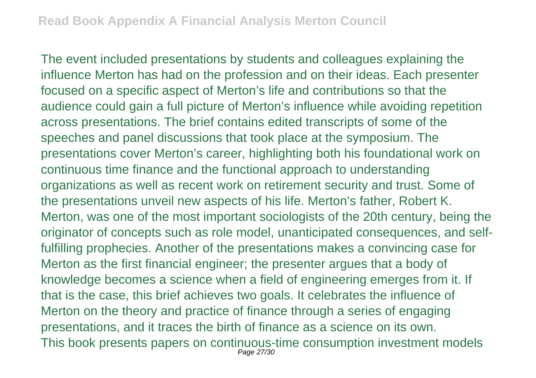The event included presentations by students and colleagues explaining the influence Merton has had on the profession and on their ideas. Each presenter focused on a specific aspect of Merton's life and contributions so that the audience could gain a full picture of Merton's influence while avoiding repetition across presentations. The brief contains edited transcripts of some of the speeches and panel discussions that took place at the symposium. The presentations cover Merton's career, highlighting both his foundational work on continuous time finance and the functional approach to understanding organizations as well as recent work on retirement security and trust. Some of the presentations unveil new aspects of his life. Merton's father, Robert K. Merton, was one of the most important sociologists of the 20th century, being the originator of concepts such as role model, unanticipated consequences, and selffulfilling prophecies. Another of the presentations makes a convincing case for Merton as the first financial engineer; the presenter argues that a body of knowledge becomes a science when a field of engineering emerges from it. If that is the case, this brief achieves two goals. It celebrates the influence of Merton on the theory and practice of finance through a series of engaging presentations, and it traces the birth of finance as a science on its own. This book presents papers on continuous-time consumption investment models Page 27/30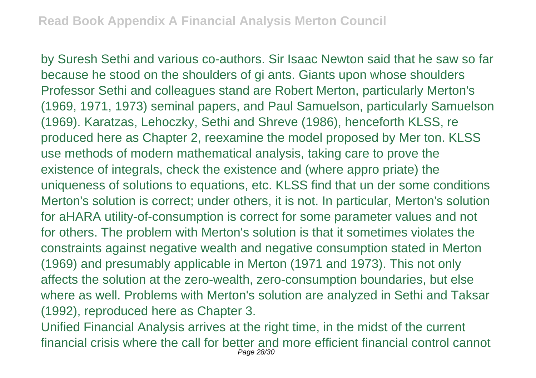by Suresh Sethi and various co-authors. Sir Isaac Newton said that he saw so far because he stood on the shoulders of gi ants. Giants upon whose shoulders Professor Sethi and colleagues stand are Robert Merton, particularly Merton's (1969, 1971, 1973) seminal papers, and Paul Samuelson, particularly Samuelson (1969). Karatzas, Lehoczky, Sethi and Shreve (1986), henceforth KLSS, re produced here as Chapter 2, reexamine the model proposed by Mer ton. KLSS use methods of modern mathematical analysis, taking care to prove the existence of integrals, check the existence and (where appro priate) the uniqueness of solutions to equations, etc. KLSS find that un der some conditions Merton's solution is correct; under others, it is not. In particular, Merton's solution for aHARA utility-of-consumption is correct for some parameter values and not for others. The problem with Merton's solution is that it sometimes violates the constraints against negative wealth and negative consumption stated in Merton (1969) and presumably applicable in Merton (1971 and 1973). This not only affects the solution at the zero-wealth, zero-consumption boundaries, but else where as well. Problems with Merton's solution are analyzed in Sethi and Taksar (1992), reproduced here as Chapter 3.

Unified Financial Analysis arrives at the right time, in the midst of the current financial crisis where the call for better and more efficient financial control cannot Page 28/30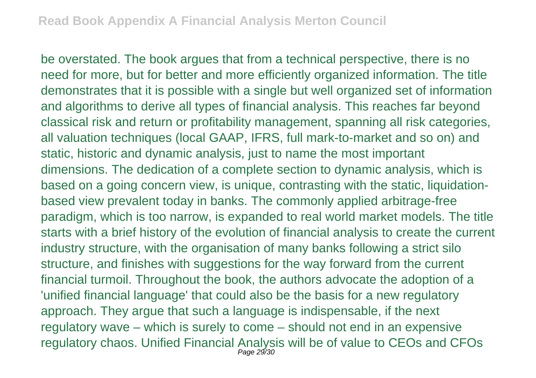be overstated. The book argues that from a technical perspective, there is no need for more, but for better and more efficiently organized information. The title demonstrates that it is possible with a single but well organized set of information and algorithms to derive all types of financial analysis. This reaches far beyond classical risk and return or profitability management, spanning all risk categories, all valuation techniques (local GAAP, IFRS, full mark-to-market and so on) and static, historic and dynamic analysis, just to name the most important dimensions. The dedication of a complete section to dynamic analysis, which is based on a going concern view, is unique, contrasting with the static, liquidationbased view prevalent today in banks. The commonly applied arbitrage-free paradigm, which is too narrow, is expanded to real world market models. The title starts with a brief history of the evolution of financial analysis to create the current industry structure, with the organisation of many banks following a strict silo structure, and finishes with suggestions for the way forward from the current financial turmoil. Throughout the book, the authors advocate the adoption of a 'unified financial language' that could also be the basis for a new regulatory approach. They argue that such a language is indispensable, if the next regulatory wave – which is surely to come – should not end in an expensive regulatory chaos. Unified Financial Analysis will be of value to CEOs and CFOs Page 29/30